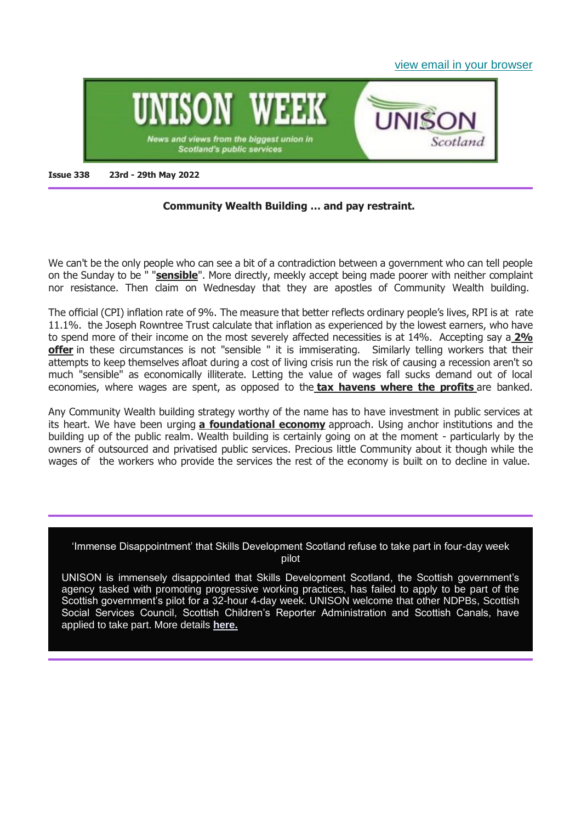[view email in your browser](https://mailchi.mp/3c8086c540ed/unison-week-338-lets-be-sensible-about-pay-four-day-week-pilot-disappointment-more?e=6345b859c4)



#### **Issue 338 23rd - 29th May 2022**

### **Community Wealth Building … and pay restraint.**

We can't be the only people who can see a bit of a contradiction between a government who can tell people on the Sunday to be " "**[sensible](https://www.bbc.co.uk/news/uk-scotland-scotland-politics-61541604)**". More directly, meekly accept being made poorer with neither complaint nor resistance. Then claim on Wednesday that they are apostles of Community Wealth building.

The official (CPI) inflation rate of 9%. The measure that better reflects ordinary people's lives, RPI is at rate 11.1%. the Joseph Rowntree Trust calculate that inflation as experienced by the lowest earners, who have to spend more of their income on the most severely affected necessities is at 14%. Accepting say a **[2%](https://view.officeapps.live.com/op/view.aspx?src=https%3A%2F%2Funison-scotland.org%2Fwp-content%2Fuploads%2F22-02-28-SJC-Letter-of-Offer.doc&wdOrigin=BROWSELINK)  [offer](https://view.officeapps.live.com/op/view.aspx?src=https%3A%2F%2Funison-scotland.org%2Fwp-content%2Fuploads%2F22-02-28-SJC-Letter-of-Offer.doc&wdOrigin=BROWSELINK)** in these circumstances is not "sensible " it is immiserating. Similarly telling workers that their attempts to keep themselves afloat during a cost of living crisis run the risk of causing a recession aren't so much "sensible" as economically illiterate. Letting the value of wages fall sucks demand out of local economies, where wages are spent, as opposed to the **[tax havens where the profits](https://cictar.org/hc-one-uk-care/)** are banked.

Any Community Wealth building strategy worthy of the name has to have investment in public services at its heart. We have been urging **[a foundational economy](https://www.unison-scotland.org/wp-content/uploads/UNISON-Scotland-response-Advisory-group-on-economic-recovery-group-2020-1.pdf)** approach. Using anchor institutions and the building up of the public realm. Wealth building is certainly going on at the moment - particularly by the owners of outsourced and privatised public services. Precious little Community about it though while the wages of the workers who provide the services the rest of the economy is built on to decline in value.

'Immense Disappointment' that Skills Development Scotland refuse to take part in four-day week pilot

UNISON is immensely disappointed that Skills Development Scotland, the Scottish government's agency tasked with promoting progressive working practices, has failed to apply to be part of the Scottish government's pilot for a 32-hour 4-day week. UNISON welcome that other NDPBs, Scottish Social Services Council, Scottish Children's Reporter Administration and Scottish Canals, have applied to take part. More details **[here.](https://unison-scotland.org/immense-disappointment-that-skills-development-scotland-refuse-to-take-part-in-four-day-week-pilot/)**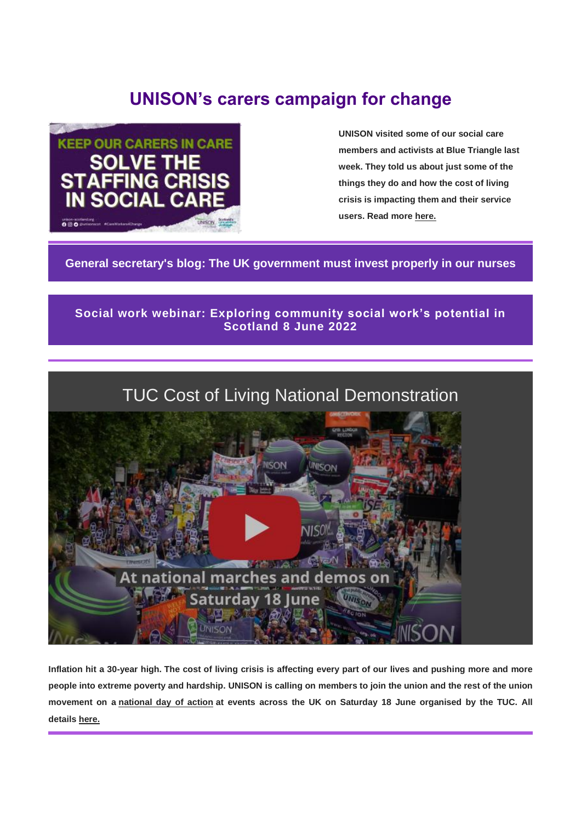# **UNISON's carers campaign for change**



**UNISON visited some of our social care members and activists at Blue Triangle last week. They told us about just some of the things they do and how the cost of living crisis is impacting them and their service users. Read more [here.](https://unison-scotland.org/unisons-carers-campaign-for-change/)**

**[General secretary's blog: The UK government must invest properly in our nurses](https://www.unison.org.uk/news/general-secretary-blog/2022/05/blog-the-uk-government-must-invest-properly-in-our-nurses/)**

# **[Social work webinar: Exploring community social work's potential in](https://unison-scotland.org/social-work-webinar-exploring-community-social-works-potential-in-scotland/)  [Scotland 8 June 2022](https://unison-scotland.org/social-work-webinar-exploring-community-social-works-potential-in-scotland/)**



**Inflation hit a 30-year high. The cost of living crisis is affecting every part of our lives and pushing more and more people into extreme poverty and hardship. UNISON is calling on members to join the union and the rest of the union movement on a [national day of action](https://www.unison.org.uk/events/tuc-national-demonstration/) at events across the UK on Saturday 18 June organised by the TUC. All details [here.](https://www.unison.org.uk/events/tuc-national-demonstration/)**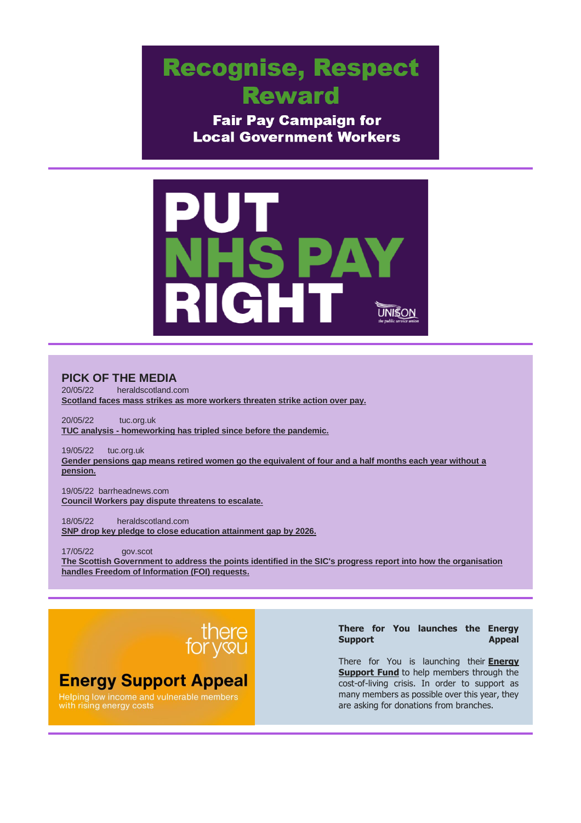# **Recognise, Respect Reward**

**Fair Pay Campaign for Local Government Workers** 



#### **PICK OF THE MEDIA**

20/05/22 heraldscotland.com **[Scotland faces mass strikes as more workers threaten strike action over pay.](https://www.heraldscotland.com/news/homenews/20152654.scotland-faces-mass-strikes-workers-threaten-strike-action-pay/)**

20/05/22 tuc.org.uk **TUC analysis - [homeworking has tripled since before the pandemic.](https://www.tuc.org.uk/news/work-home-day-homeworking-has-tripled-pandemic-tuc-analysis)**

19/05/22 tuc.org.uk **[Gender pensions gap means retired women go the equivalent of four and a half months each year without a](https://www.tuc.org.uk/news/gender-pensions-gap-means-retired-women-go-equivalent-four-and-half-months-each-year-without)  [pension.](https://www.tuc.org.uk/news/gender-pensions-gap-means-retired-women-go-equivalent-four-and-half-months-each-year-without)**

19/05/22 barrheadnews.com **[Council Workers pay dispute threatens to escalate.](https://www.barrheadnews.com/news/20144280.council-workers-pay-dispute-threatens-escalate/)**

18/05/22 heraldscotland.com **[SNP drop key pledge to close education attainment gap by 2026.](https://www.heraldscotland.com/politics/20148292.snp-drop-key-pledge-close-education-attainment-gap-2026/)**

17/05/22 gov.scot **[The Scottish Government to address the points identified in the SIC's progress report into how the organisation](https://www.gov.scot/news/foi-handling/)  [handles Freedom of Information \(FOI\) requests.](https://www.gov.scot/news/foi-handling/)**



# **Energy Support Appeal**

Helping low income and vulnerable members<br>with rising energy costs

#### **There for You launches the Energy Support Appeal**

There for You is launching their **[Energy](https://www.unison.org.uk/news/2022/03/there-for-you-launches-the-energy-support-appeal/?utm_medium=email&utm_campaign=Staff%20activist%20090322&utm_source=Communications&utm_content=Bills%3A%20There%20for%20You%20launches%20its%20energy%20support%20appeal)  [Support Fund](https://www.unison.org.uk/news/2022/03/there-for-you-launches-the-energy-support-appeal/?utm_medium=email&utm_campaign=Staff%20activist%20090322&utm_source=Communications&utm_content=Bills%3A%20There%20for%20You%20launches%20its%20energy%20support%20appeal)** to help members through the cost-of-living crisis. In order to support as many members as possible over this year, they are asking for donations from branches.